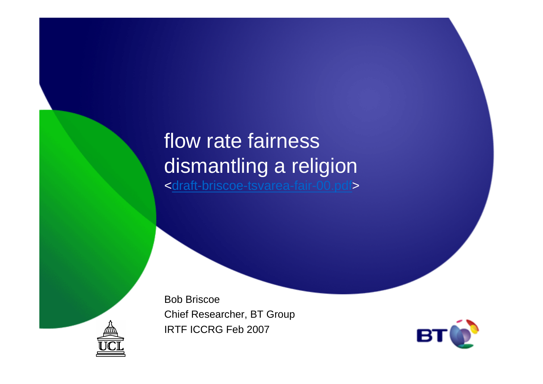### flow rate fairness dismantling a religion<draft-briscoe-tsvarea-fair-00.pdf>

Bob Briscoe Chief Researcher, BT GroupIRTF ICCRG Feb 2007



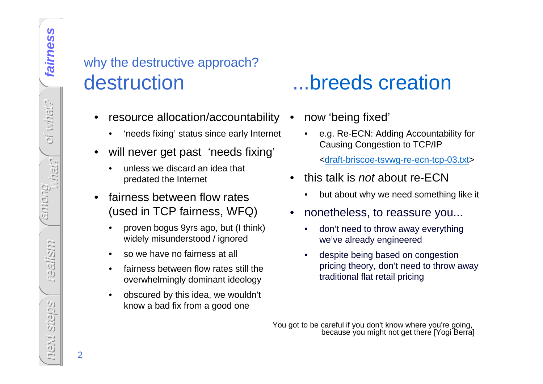### why the destructive approach? destruction ...breeds creation

- $\bullet$  resource allocation/accountability •
	- •'needs fixing' status since early Internet
- • will never get past 'needs fixing'
	- • unless we discard an idea that predated the Internet
- • fairness between flow rates (used in TCP fairness, WFQ)
	- • proven bogus 9yrs ago, but (I think) widely misunderstood / ignored
	- •so we have no fairness at all
	- • fairness between flow rates still the overwhelmingly dominant ideology
	- $\bullet$  obscured by this idea, we wouldn't know a bad fix from a good one

- now 'being fixed'
	- • e.g. Re-ECN: Adding Accountability for Causing Congestion to TCP/IP
		- <draft-briscoe-tsvwg-re-ecn-tcp-03.txt>
- • this talk is not about re-ECN
	- but about why we need something like it •
- • nonetheless, to reassure you...
	- • don't need to throw away everything we've already engineered
	- • despite being based on congestion pricing theory, don't need to throw away traditional flat retail pricing

You got to be careful if you don't know where you're going, because you might not get there [Yogi Berra]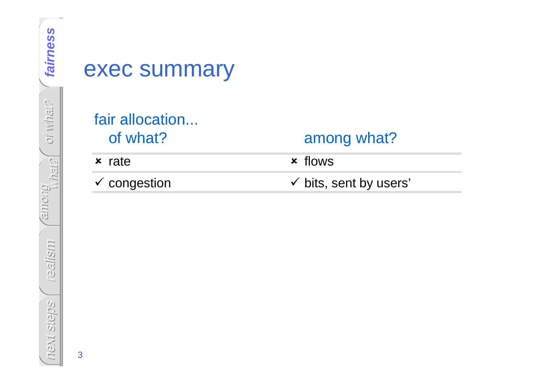### exec summary

#### fair allocation...of what?

**x** rate

- congestion

#### among what?

flows

 $\checkmark$  bits, sent by users'

3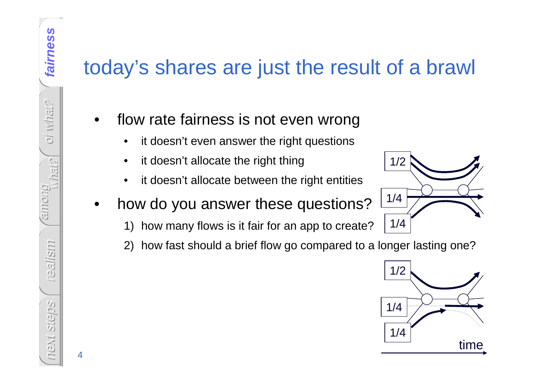## today's shares are just the result of a brawl

- • flow rate fairness is not even wrong
	- •it doesn't even answer the right questions
	- •it doesn't allocate the right thing
	- •it doesn't allocate between the right entities
- • how do you answer these questions?
	- 1) how many flows is it fair for an app to create?
	- 2) how fast should a brief flow go compared to a longer lasting one?



1/2

1/4

1/4

4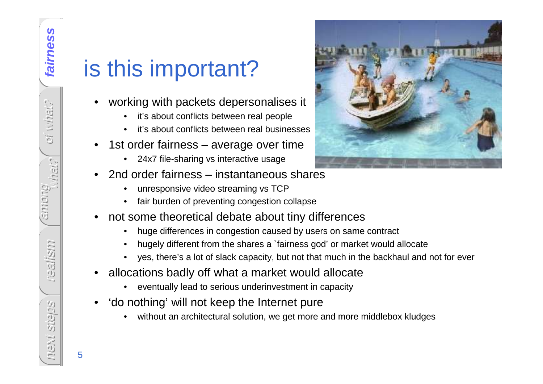5

# is this important?

- • working with packets depersonalises it
	- •it's about conflicts between real people
	- it's about conflicts between real businesses•
- • 1st order fairness – average over time
	- •24x7 file-sharing vs interactive usage
- • 2nd order fairness – instantaneous shares
	- •unresponsive video streaming vs TCP
	- fair burden of preventing congestion collapse•
- • not some theoretical debate about tiny differences
	- huge differences in congestion caused by users on same contract •
	- •hugely different from the shares a `fairness god' or market would allocate
	- yes, there's a lot of slack capacity, but not that much in the backhaul and not for ever•
- • allocations badly off what a market would allocate
	- •eventually lead to serious underinvestment in capacity
- • 'do nothing' will not keep the Internet pure
	- without an architectural solution, we get more and more middlebox kludges•

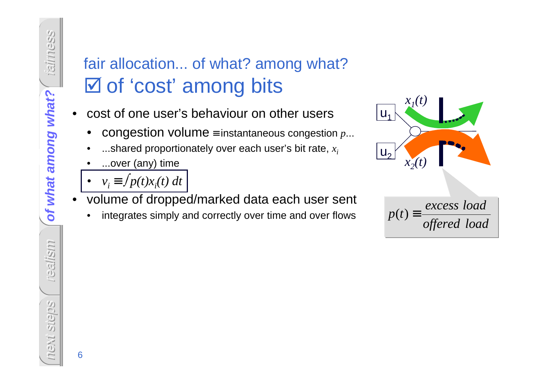# fair allocation... of what? among what?**Ø of 'cost' among bits**

- • cost of one user's behaviour on other users
	- •congestion volume≡ instantaneous congestion *p*...
	- ...shared proportionately over each user's bit rate, *xi*•
	- •...over (any) time
	- • $v_i$  ≡  $f p(t) x_i(t) dt$
- volume of dropped/marked data each user sent
	- •integrates simply and correctly over time and over flows





6

fairness

reyw or

al all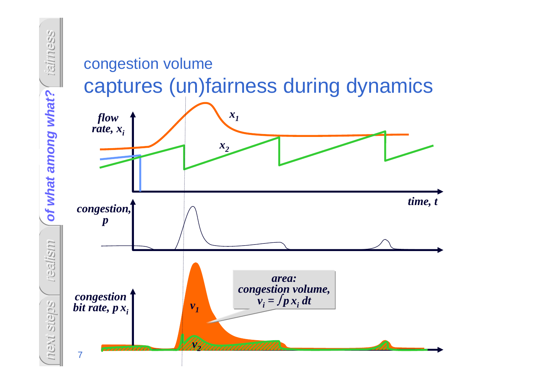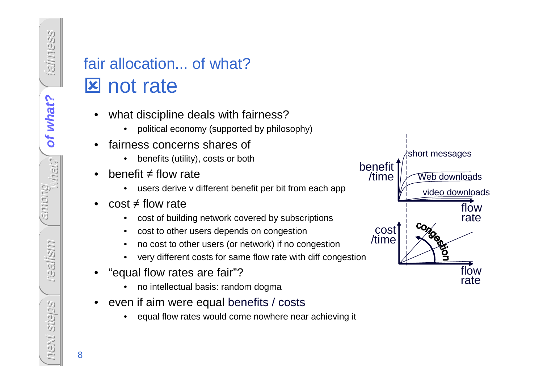# fair allocation... of what?**x** not rate

- • what discipline deals with fairness?
	- political economy (supported by philosophy)•
- • fairness concerns shares of
	- benefits (utility), costs or both
- • benefit ≠ flow rate
	- users derive v different benefit per bit from each app•
- • cost ≠ flow rate
	- cost of building network covered by subscriptions•
	- •cost to other users depends on congestion
	- no cost to other users (or network) if no congestion•
	- •very different costs for same flow rate with diff congestion
- • "equal flow rates are fair"?
	- no intellectual basis: random dogma•
- • even if aim were equal benefits / costs
	- equal flow rates would come nowhere near achieving it •



fairness

of what?

of what? **of what?**

among

realism

next steps

**MEXT** 

**Stielpis**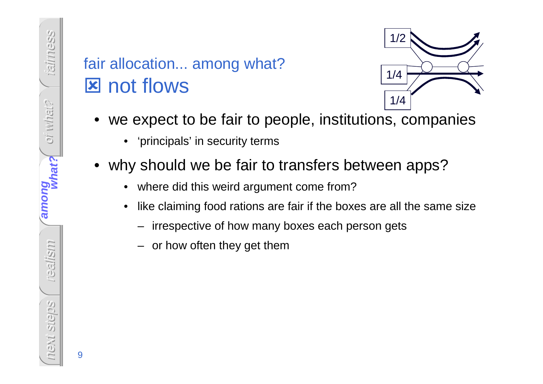# fair allocation... among what?**x** not flows



- we expect to be fair to people, institutions, companies
	- 'principals' in security terms
- •why should we be fair to transfers between apps?
	- •where did this weird argument come from?
	- • like claiming food rations are fair if the boxes are all the same size
		- –irrespective of how many boxes each person gets
		- or how often they get them

9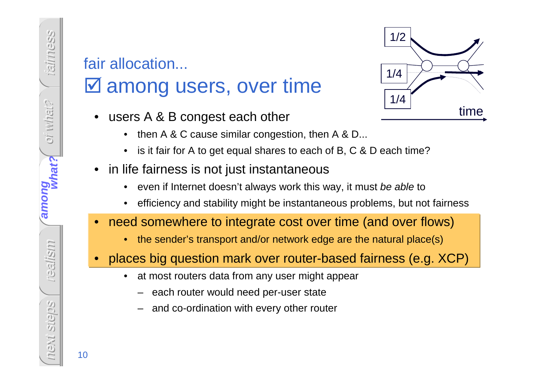# fair allocation...

# among users, over time

- • users A & B congest each other
	- •then A & C cause similar congestion, then A & D...
	- •is it fair for A to get equal shares to each of B, C & D each time?
- • in life fairness is not just instantaneous
	- •even if Internet doesn't always work this way, it must be able to
	- •efficiency and stability might be instantaneous problems, but not fairness
- $\bullet$  need somewhere to integrate cost over time (and over flows)
	- •the sender's transport and/or network edge are the natural place(s)
- • places big question mark over router-based fairness (e.g. XCP)
	- $\bullet$  at most routers data from any user might appear
		- each router would need per-user state
		- and co-ordination with every other router



fairness

oi what?

oi what?

what?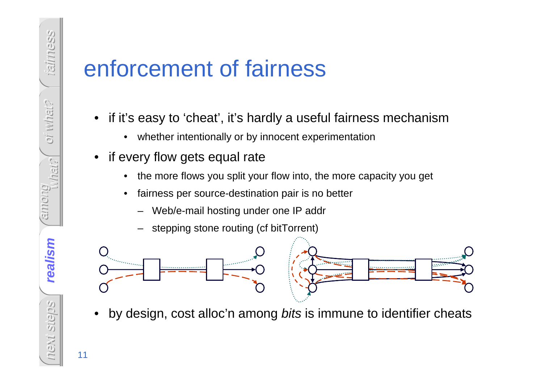# enforcement of fairness

- • if it's easy to 'cheat', it's hardly a useful fairness mechanism
	- $\bullet$ whether intentionally or by innocent experimentation
- if every flow gets equal rate
	- •the more flows you split your flow into, the more capacity you get
	- • fairness per source-destination pair is no better
		- Web/e-mail hosting under one IP addr
		- stepping stone routing (cf bitTorrent)



•by design, cost alloc'n among bits is immune to identifier cheats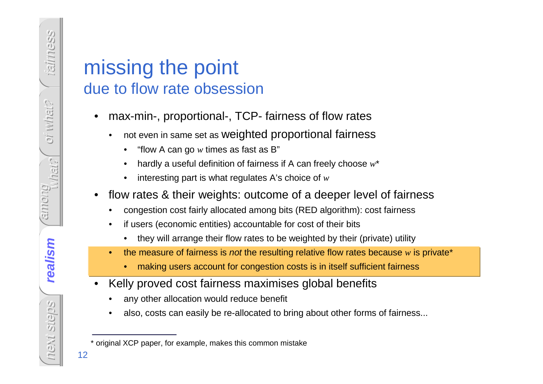### missing the pointdue to flow rate obsession

- • max-min-, proportional-, TCP- fairness of flow rates
	- • not even in same set as weighted proportional fairness
		- •"flow A can go  $w$  times as fast as B"
		- •hardly a useful definition of fairness if A can freely choose *w*\*
		- •interesting part is what regulates A's choice of *w*
- • flow rates & their weights: outcome of a deeper level of fairness
	- •congestion cost fairly allocated among bits (RED algorithm): cost fairness
	- • if users (economic entities) accountable for cost of their bits
		- •they will arrange their flow rates to be weighted by their (private) utility
	- •the measure of fairness is *not* the resulting relative flow rates because  $w$  is private<sup>\*</sup>
		- •making users account for congestion costs is in itself sufficient fairness
- • Kelly proved cost fairness maximises global benefits
	- •any other allocation would reduce benefit
	- •also, costs can easily be re-allocated to bring about other forms of fairness...

<sup>\*</sup> original XCP paper, for example, makes this common mistake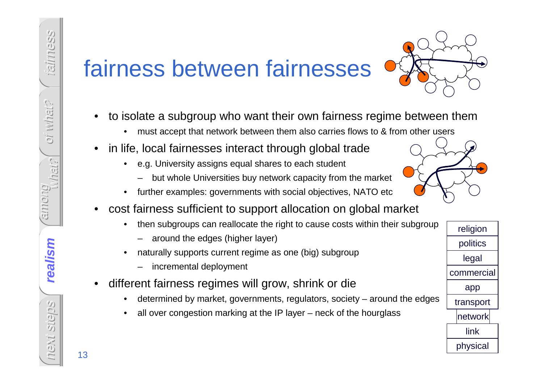# fairness between fairnesses



- • to isolate a subgroup who want their own fairness regime between them
	- •must accept that network between them also carries flows to & from other users
- • in life, local fairnesses interact through global trade
	- • e.g. University assigns equal shares to each student
		- but whole Universities buy network capacity from the market
	- •further examples: governments with social objectives, NATO etc
- • cost fairness sufficient to support allocation on global market
	- $\bullet$  then subgroups can reallocate the right to cause costs within their subgroup
		- around the edges (higher layer)
	- • naturally supports current regime as one (big) subgroup
		- incremental deployment
- • different fairness regimes will grow, shrink or di e
	- determined by market, governments, regulators, society around the edges•
	- •all over congestion marking at the IP layer – neck of the hourglass

religionpoliticslegalcommercialapptransportnetworklinkphysical

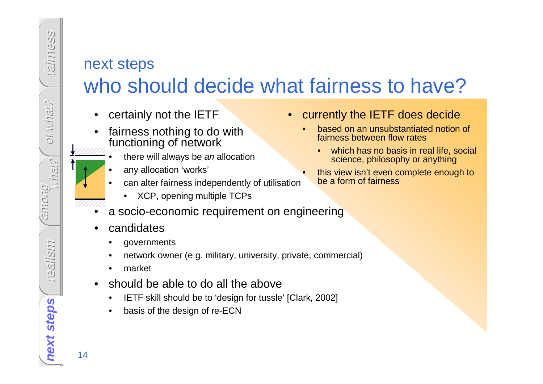### next stepswho should decide what fairness to have?

- •certainly not the IETF
- fairness nothing to do with •functioning of network
	- there will always be an allocation
	- •any allocation 'works'
	- • can alter fairness independently of utilisation
		- •XCP, opening multiple TCPs
- •a socio-economic requirement on engineering
- •candidates

•

- •governments
- •network owner (e.g. military, university, private, commercial)
- •market
- • should be able to do all the above
	- IETF skill should be to 'design for tussle' [Clark, 2002] •
	- •basis of the design of re-ECN
- • currently the IETF does decide
	- based on an unsubstantiated notion of •fairness between flow rates
		- which has no basis in real life, social •science, philosophy or anything
	- this view isn't even complete enough to •be a form of fairness

next steps<br>
14 **next steps**

fairness

oi what?

oi what?

among

realism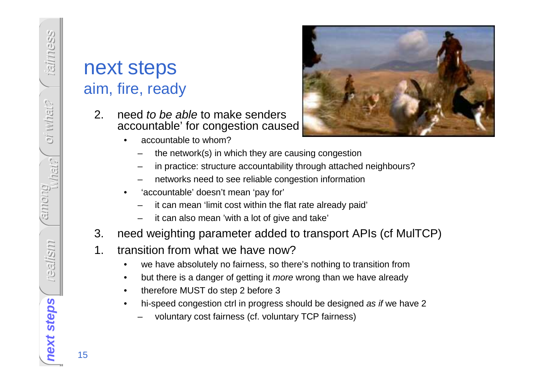#### next stepsaim, fire, ready

- 2. need to be able to make senders accountable' for congestion caused
	- •accountable to whom?



- the network(s) in which they are causing congestion
- in practice: structure accountability through attached neighbours?
- networks need to see reliable congestion information
- • 'accountable' doesn't mean 'pay for'
	- it can mean 'limit cost within the flat rate already paid'
	- it can also mean 'with a lot of give and take'
- 3. need weighting parameter added to transport APIs (cf MulTCP)
- 1. transition from what we have now?
	- we have absolutely no fairness, so there's nothing to transition from•
	- but there is a danger of getting it more wrong than we have already •
	- •therefore MUST do step 2 before 3
	- hi-speed congestion ctrl in progress should be designed as if we have 2•
		- voluntary cost fairness (cf. voluntary TCP fairness)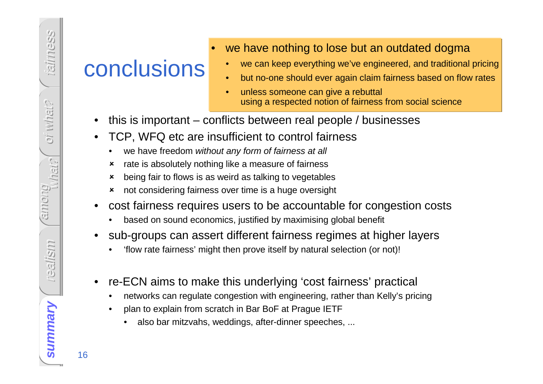## conclusions

- • we have nothing to lose but an outdated dogma
	- we can keep everything we've engineered, and traditional pricing•
	- •but no-one should ever again claim fairness based on flow rates
	- • unless someone can give a rebuttal using a respected notion of fairness from social science
- •this is important – conflicts between real people / businesses
- • TCP, WFQ etc are insufficient to control fairness
	- •we have freedom without any form of fairness at all
	- $\boldsymbol{\mathsf{x}}$ rate is absolutely nothing like a measure of fairness
	- $\boldsymbol{\mathsf{x}}$ being fair to flows is as weird as talking to vegetables
	- not considering fairness over time is a huge oversight
- • cost fairness requires users to be accountable for congestion costs
	- •based on sound economics, justified by maximising global benefit
- • sub-groups can assert different fairness regimes at higher layers
	- •'flow rate fairness' might then prove itself by natural selection (or not)!
- • re-ECN aims to make this underlying 'cost fairness' practical
	- •networks can regulate congestion with engineering, rather than Kelly's pricing
	- • plan to explain from scratch in Bar BoF at Prague IETF
		- also bar mitzvahs, weddings, after-dinner speeches, ...  $\bullet$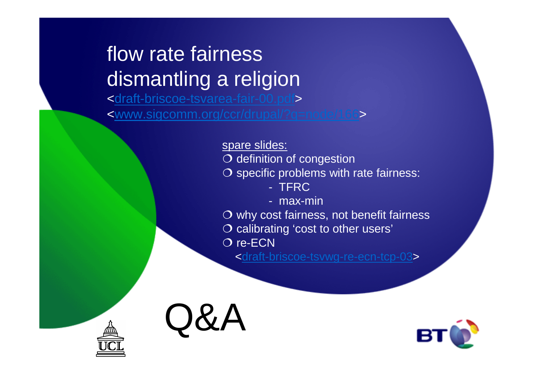# flow rate fairnessdismantling a religion

 <draft-briscoe-tsvarea-fair-00.pdf><www.sigcomm.org/ccr/drupal/?q=node/166>

> spare slides: $\overline{O}$  definition of congestion<br> $\overline{O}$  specific problems with O specific problems with rate fairness:<br>FERC - TFRC - max-min $\overline{O}$  why cost fairness, not benefit fairness<br> $\overline{O}$  calibrating 'cost to other users' O calibrating 'cost to other users'<br> $\Omega$  re-ECN O re-ECN<br>draft-br>

<draft-briscoe-tsvwg-re-ecn-tcp-03>





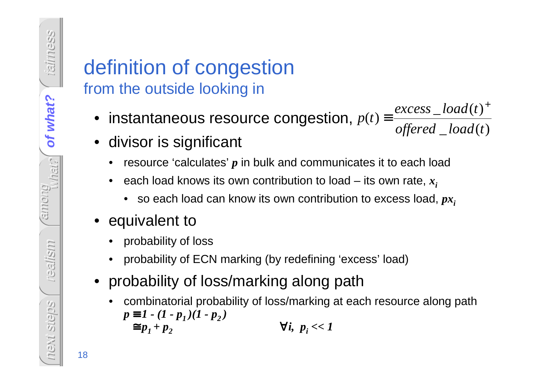### definition of congestionfrom the outside looking in

- $\bullet\,$  instantaneous resource congestion,  $_1$  $\_\,load(t)$  $\left( t\right)$  $(t)$  *offered load texcess load*  $p(t) \equiv \frac{excess\_load(t)}{offared\_load(t)}$ *t* + $\equiv \frac{\text{Caccos} - \text{iccat}(V)}{}$
- divisor is significant
	- •resource 'calculates' *p* in bulk and communicates it to each load
	- • each load knows its own contribution to load – its own rate, *xi*
		- $\bullet$   $\,$  so each load can know its own contribution to excess load,  $p x_{i}$
- equivalent to
	- probability of loss•
	- probability of ECN marking (by redefining 'excess' load)
- probability of loss/marking along path
	- • combinatorial probability of loss/marking at each resource along path $p \equiv 1 - (1 - p_1)(1 - p_2)$  $\equiv p_1 + p_2$  $\forall i, p_i$  << 1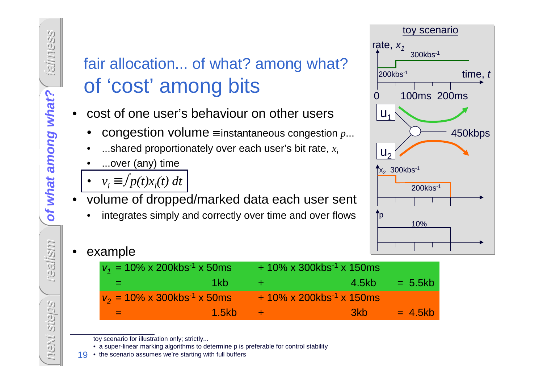### fair allocation... of what? among what?of 'cost' among bits

- • cost of one user's behaviour on other users
	- •congestion volume≡ instantaneous congestion *p*...
	- ...shared proportionately over each user's bit rate, *xi*•
	- •...over (any) time
	- • $v_i$  ≡  $f p(t) x_i(t) dt$
- volume of dropped/marked data each user sent •
	- •integrates simply and correctly over time and over flows



•example

| $v_1$ = 10% x 200kbs <sup>-1</sup> x 50ms        |              |            | $+10\% \times 300$ kbs <sup>-1</sup> x 150 ms |           |
|--------------------------------------------------|--------------|------------|-----------------------------------------------|-----------|
| and the                                          | 1kb          |            | 4.5kb                                         | $= 5.5kb$ |
| $v_2 = 10\% \times 300$ kbs <sup>-1</sup> x 50ms |              |            | $+10\% \times 200$ kbs <sup>-1</sup> x 150ms  |           |
| $=$ $-$                                          | <u>1.5kb</u> | <b>A+7</b> | 3kb                                           | $= 4.5kb$ |

toy scenario for illustration only; strictly...

• a super-linear marking algorithms to determine p is preferable for control stability

• the scenario assumes we're starting with full buffers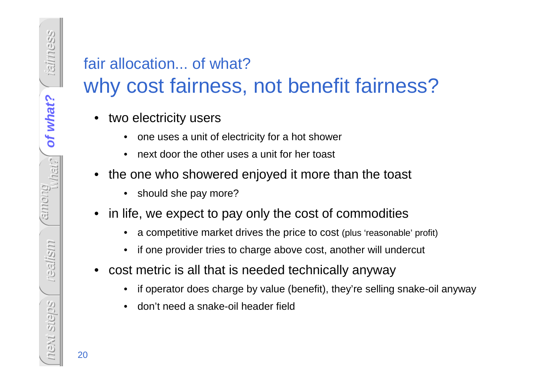# fair allocation... of what?

### why cost fairness, not benefit fairness?

- • two electricity users
	- •one uses a unit of electricity for a hot shower
	- •next door the other uses a unit for her toast
- • the one who showered enjoyed it more than the toast
	- $\bullet$ should she pay more?
- • in life, we expect to pay only the cost of commodities
	- •a competitive market drives the price to cost (plus 'reasonable' profit)
	- •if one provider tries to charge above cost, another will undercut
- $\bullet$  cost metric is all that is needed technically anyway
	- •if operator does charge by value (benefit), they're selling snake-oil anyway
	- •don't need a snake-oil header field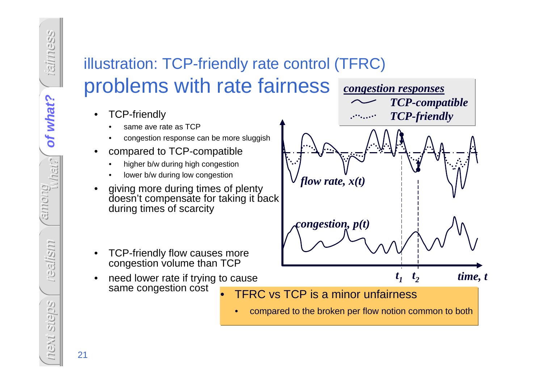### illustration: TCP-friendly rate control (TFRC)problems with rate fairness

- • TCP-friendly
	- same ave rate as TCP•
	- congestion response can be more sluggish•
- • compared to TCP-compatible
	- higher b/w during high congestion•
	- •lower b/w during low congestion
- • giving more during times of plenty doesn't compensate for taking it back during times of scarcity
- • TCP-friendly flow causes more congestion volume than TCP
- need lower rate if trying to cause •same congestion cost•



•compared to the broken per flow notion common to both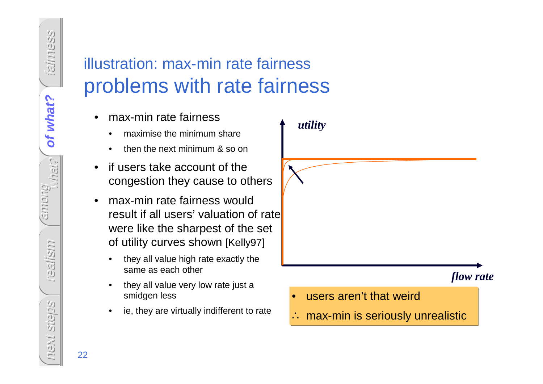### illustration: max-min rate fairnessproblems with rate fairness

- • max-min rate fairness
	- •maximise the minimum share
	- •then the next minimum & so on
- • if users take account of the congestion they cause to others
- • max-min rate fairness would result if all users' valuation of rate were like the sharpest of the set of utility curves shown [Kelly97]
	- • they all value high rate exactly the same as each other
	- • they all value very low rate just a smidgen less
	- •ie, they are virtually indifferent to rate

*utility*

#### *flow rate*

- $\bullet$ users aren't that weird
- ∴ max-min is seriously unrealistic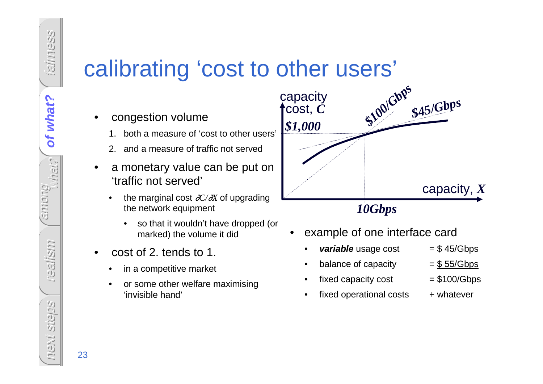# calibrating 'cost to other users'

- • congestion volume
	- 1. both a measure of 'cost to other users'
	- 2. and a measure of traffic not served
- • a monetary value can be put on 'traffic not served'
	- • the marginal cost ∂*C/*∂*X* of upgrading the network equipment
		- • so that it wouldn't have dropped (or marked) the volume it did
- • cost of 2. tends to 1.
	- •in a competitive market
	- • or some other welfare maximising 'invisible hand'



- • example of one interface card
	- **variable** usage cost = \$ 45/Gbps
	- balance of capacity  $= $55/\text{Gbps}$
	- •fixed capacity cost  $= $100/\text{Gbps}$

•

•

- • $fixed$  operational costs  $+$  whatever
- -

fairness

of what?

**of what?**

of what?

among

realism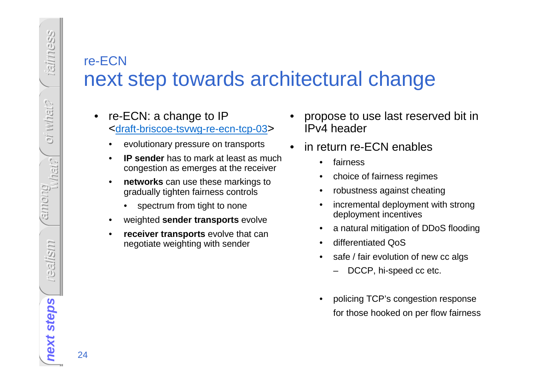#### re-ECN next step towards architectural change

- • re-ECN: a change to IP <draft-briscoe-tsvwg-re-ecn-tcp-03>
	- •evolutionary pressure on transports
	- • **IP sender** has to mark at least as much congestion as emerges at the receiver
	- •**networks** can use these markings to gradually tighten fairness controls
		- •spectrum from tight to none
	- •weighted **sender transports** evolve
	- • **receiver transports** evolve that can negotiate weighting with sender
- • propose to use last reserved bit in IPv4 header
- • in return re-ECN enables
	- •fairness
	- •choice of fairness regimes
	- •robustness against cheating
	- • incremental deployment with strong deployment incentives
	- •a natural mitigation of DDoS flooding
	- •differentiated QoS
	- safe / fair evolution of new cc algs •
		- –DCCP, hi-speed cc etc.
	- • policing TCP's congestion responsefor those hooked on per flow fairness

fairness

oi what?

Ci what?

among

realism